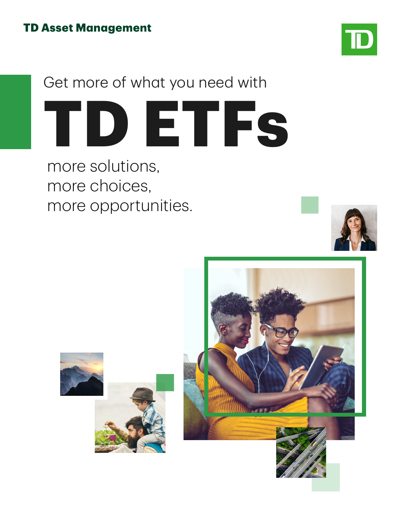

# Get more of what you need with



more solutions, more choices, more opportunities.





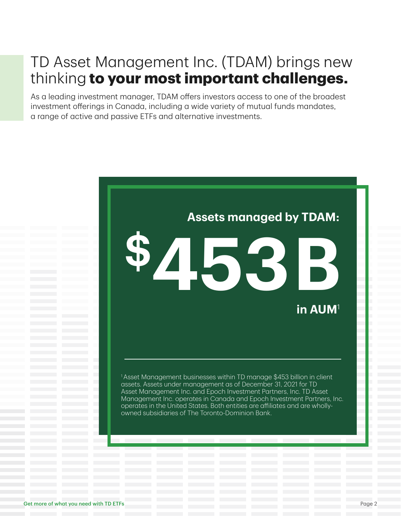# TD Asset Management Inc. (TDAM) brings new thinking **to your most important challenges.**

As a leading investment manager, TDAM offers investors access to one of the broadest investment offerings in Canada, including a wide variety of mutual funds mandates, a range of active and passive ETFs and alternative investments.

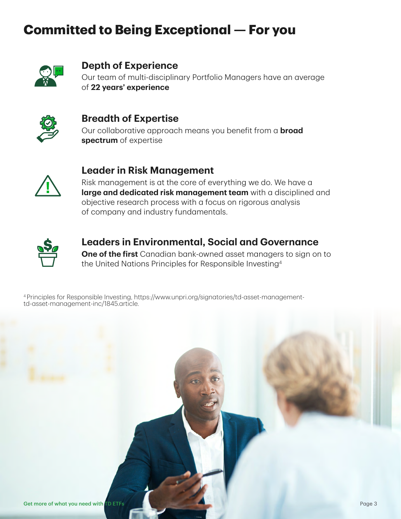## **Committed to Being Exceptional — For you**



#### **Depth of Experience**

Our team of multi-disciplinary Portfolio Managers have an average of **22 years' experience**



#### **Breadth of Expertise**

Our collaborative approach means you benefit from a **broad spectrum** of expertise



#### **Leader in Risk Management**

Risk management is at the core of everything we do. We have a **large and dedicated risk management team** with a disciplined and objective research process with a focus on rigorous analysis of company and industry fundamentals.



#### **Leaders in Environmental, Social and Governance**

**One of the first** Canadian bank-owned asset managers to sign on to the United Nations Principles for Responsible Investing4

4 Principles for Responsible Investing, https://www.unpri.org/signatories/td-asset-managementtd-asset-management-inc/1845.article.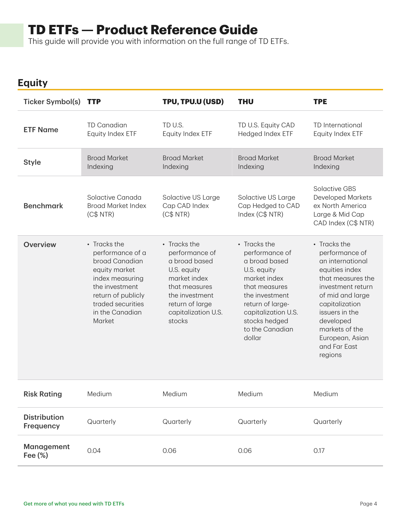## **TD ETFs — Product Reference Guide**

This guide will provide you with information on the full range of TD ETFs.

| Ticker Symbol(s)                 | <b>TTP</b>                                                                                                                                                                       | TPU, TPU.U (USD)                                                                                                                                                      | <b>THU</b>                                                                                                                                                                                                 | <b>TPE</b>                                                                                                                                                                                                                                          |
|----------------------------------|----------------------------------------------------------------------------------------------------------------------------------------------------------------------------------|-----------------------------------------------------------------------------------------------------------------------------------------------------------------------|------------------------------------------------------------------------------------------------------------------------------------------------------------------------------------------------------------|-----------------------------------------------------------------------------------------------------------------------------------------------------------------------------------------------------------------------------------------------------|
| <b>ETF Name</b>                  | <b>TD Canadian</b><br><b>Equity Index ETF</b>                                                                                                                                    | TD U.S.<br>Equity Index ETF                                                                                                                                           | TD U.S. Equity CAD<br>Hedged Index ETF                                                                                                                                                                     | <b>TD</b> International<br>Equity Index ETF                                                                                                                                                                                                         |
| <b>Style</b>                     | <b>Broad Market</b><br>Indexing                                                                                                                                                  | <b>Broad Market</b><br>Indexing                                                                                                                                       | <b>Broad Market</b><br>Indexing                                                                                                                                                                            | <b>Broad Market</b><br>Indexing                                                                                                                                                                                                                     |
| <b>Benchmark</b>                 | Solactive Canada<br><b>Broad Market Index</b><br>(C\$ NTR)                                                                                                                       | Solactive US Large<br>Cap CAD Index<br>(C\$ NTR)                                                                                                                      | Solactive US Large<br>Cap Hedged to CAD<br>Index (C\$ NTR)                                                                                                                                                 | <b>Solactive GBS</b><br><b>Developed Markets</b><br>ex North America<br>Large & Mid Cap<br>CAD Index (C\$ NTR)                                                                                                                                      |
| <b>Overview</b>                  | • Tracks the<br>performance of a<br>broad Canadian<br>equity market<br>index measuring<br>the investment<br>return of publicly<br>traded securities<br>in the Canadian<br>Market | • Tracks the<br>performance of<br>a broad based<br>U.S. equity<br>market index<br>that measures<br>the investment<br>return of large<br>capitalization U.S.<br>stocks | • Tracks the<br>performance of<br>a broad based<br>U.S. equity<br>market index<br>that measures<br>the investment<br>return of large-<br>capitalization U.S.<br>stocks hedged<br>to the Canadian<br>dollar | • Tracks the<br>performance of<br>an international<br>equities index<br>that measures the<br>investment return<br>of mid and large<br>capitalization<br>issuers in the<br>developed<br>markets of the<br>European, Asian<br>and Far East<br>regions |
| <b>Risk Rating</b>               | Medium                                                                                                                                                                           | Medium                                                                                                                                                                | Medium                                                                                                                                                                                                     | Medium                                                                                                                                                                                                                                              |
| <b>Distribution</b><br>Frequency | Quarterly                                                                                                                                                                        | Quarterly                                                                                                                                                             | Quarterly                                                                                                                                                                                                  | Quarterly                                                                                                                                                                                                                                           |
| <b>Management</b><br>Fee (%)     | 0.04                                                                                                                                                                             | 0.06                                                                                                                                                                  | 0.06                                                                                                                                                                                                       | 0.17                                                                                                                                                                                                                                                |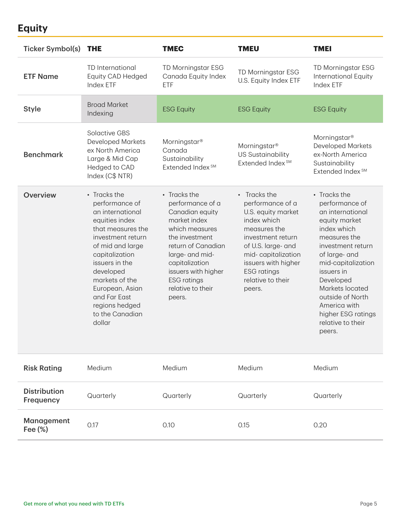| Ticker Symbol(s) THE             |                                                                                                                                                                                                                                                                                         | <b>TMEC</b>                                                                                                                                                                                                                                    | <b>TMEU</b>                                                                                                                                                                                                                        | <b>TMEI</b>                                                                                                                                                                                                                                                                                           |
|----------------------------------|-----------------------------------------------------------------------------------------------------------------------------------------------------------------------------------------------------------------------------------------------------------------------------------------|------------------------------------------------------------------------------------------------------------------------------------------------------------------------------------------------------------------------------------------------|------------------------------------------------------------------------------------------------------------------------------------------------------------------------------------------------------------------------------------|-------------------------------------------------------------------------------------------------------------------------------------------------------------------------------------------------------------------------------------------------------------------------------------------------------|
| <b>ETF Name</b>                  | <b>TD</b> International<br>Equity CAD Hedged<br>Index ETF                                                                                                                                                                                                                               | TD Morningstar ESG<br>Canada Equity Index<br>ETF                                                                                                                                                                                               | TD Morningstar ESG<br>U.S. Equity Index ETF                                                                                                                                                                                        | TD Morningstar ESG<br><b>International Equity</b><br>Index ETF                                                                                                                                                                                                                                        |
| <b>Style</b>                     | <b>Broad Market</b><br>Indexing                                                                                                                                                                                                                                                         | <b>ESG Equity</b>                                                                                                                                                                                                                              | <b>ESG Equity</b>                                                                                                                                                                                                                  | <b>ESG Equity</b>                                                                                                                                                                                                                                                                                     |
| <b>Benchmark</b>                 | <b>Solactive GBS</b><br><b>Developed Markets</b><br>ex North America<br>Large & Mid Cap<br>Hedged to CAD<br>Index (C\$ NTR)                                                                                                                                                             | Morningstar <sup>®</sup><br>Canada<br>Sustainability<br>Extended Index <sup>SM</sup>                                                                                                                                                           | Morningstar <sup>®</sup><br><b>US Sustainability</b><br>Extended Index <sup>SM</sup>                                                                                                                                               | Morningstar <sup>®</sup><br><b>Developed Markets</b><br>ex-North America<br>Sustainability<br>Extended Index <sup>SM</sup>                                                                                                                                                                            |
| Overview                         | • Tracks the<br>performance of<br>an international<br>equities index<br>that measures the<br>investment return<br>of mid and large<br>capitalization<br>issuers in the<br>developed<br>markets of the<br>European, Asian<br>and Far East<br>regions hedged<br>to the Canadian<br>dollar | • Tracks the<br>performance of a<br>Canadian equity<br>market index<br>which measures<br>the investment<br>return of Canadian<br>large- and mid-<br>capitalization<br>issuers with higher<br><b>ESG</b> ratings<br>relative to their<br>peers. | • Tracks the<br>performance of a<br>U.S. equity market<br>index which<br>measures the<br>investment return<br>of U.S. large- and<br>mid-capitalization<br>issuers with higher<br><b>ESG</b> ratings<br>relative to their<br>peers. | • Tracks the<br>performance of<br>an international<br>equity market<br>index which<br>measures the<br>investment return<br>of large- and<br>mid-capitalization<br>issuers in<br>Developed<br>Markets located<br>outside of North<br>America with<br>higher ESG ratings<br>relative to their<br>peers. |
| <b>Risk Rating</b>               | Medium                                                                                                                                                                                                                                                                                  | Medium                                                                                                                                                                                                                                         | Medium                                                                                                                                                                                                                             | Medium                                                                                                                                                                                                                                                                                                |
| <b>Distribution</b><br>Frequency | Quarterly                                                                                                                                                                                                                                                                               | Quarterly                                                                                                                                                                                                                                      | Quarterly                                                                                                                                                                                                                          | Quarterly                                                                                                                                                                                                                                                                                             |
| <b>Management</b><br>Fee $(\%)$  | 0.17                                                                                                                                                                                                                                                                                    | 0.10                                                                                                                                                                                                                                           | 0.15                                                                                                                                                                                                                               | 0.20                                                                                                                                                                                                                                                                                                  |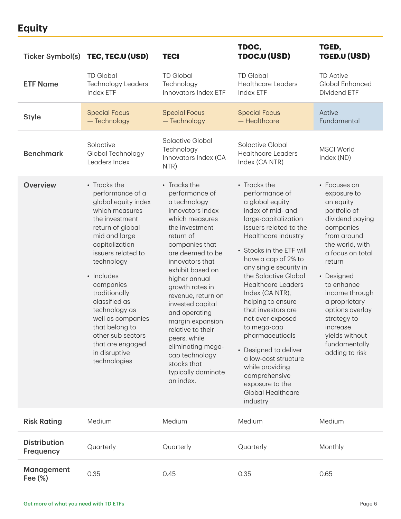|                                  | Ticker Symbol(s) TEC, TEC.U (USD)                                                                                                                                                                                                                                                                                                                                                     | <b>TECI</b>                                                                                                                                                                                                                                                                                                                                                                                                                                       | TDOC,<br><b>TDOC.U (USD)</b>                                                                                                                                                                                                                                                                                                                                                                                                                                                                                                                          | TGED,<br><b>TGED.U (USD)</b>                                                                                                                                                                                                                                                                                               |
|----------------------------------|---------------------------------------------------------------------------------------------------------------------------------------------------------------------------------------------------------------------------------------------------------------------------------------------------------------------------------------------------------------------------------------|---------------------------------------------------------------------------------------------------------------------------------------------------------------------------------------------------------------------------------------------------------------------------------------------------------------------------------------------------------------------------------------------------------------------------------------------------|-------------------------------------------------------------------------------------------------------------------------------------------------------------------------------------------------------------------------------------------------------------------------------------------------------------------------------------------------------------------------------------------------------------------------------------------------------------------------------------------------------------------------------------------------------|----------------------------------------------------------------------------------------------------------------------------------------------------------------------------------------------------------------------------------------------------------------------------------------------------------------------------|
| <b>ETF Name</b>                  | <b>TD Global</b><br>Technology Leaders<br>Index ETF                                                                                                                                                                                                                                                                                                                                   | <b>TD Global</b><br>Technology<br>Innovators Index ETF                                                                                                                                                                                                                                                                                                                                                                                            | <b>TD Global</b><br><b>Healthcare Leaders</b><br>Index ETF                                                                                                                                                                                                                                                                                                                                                                                                                                                                                            | <b>TD Active</b><br>Global Enhanced<br>Dividend ETF                                                                                                                                                                                                                                                                        |
| <b>Style</b>                     | <b>Special Focus</b><br>- Technology                                                                                                                                                                                                                                                                                                                                                  | <b>Special Focus</b><br>- Technology                                                                                                                                                                                                                                                                                                                                                                                                              | <b>Special Focus</b><br>- Healthcare                                                                                                                                                                                                                                                                                                                                                                                                                                                                                                                  | Active<br>Fundamental                                                                                                                                                                                                                                                                                                      |
| <b>Benchmark</b>                 | Solactive<br>Global Technology<br>Leaders Index                                                                                                                                                                                                                                                                                                                                       | Solactive Global<br>Technology<br>Innovators Index (CA<br>NTR)                                                                                                                                                                                                                                                                                                                                                                                    | <b>Solactive Global</b><br><b>Healthcare Leaders</b><br>Index (CA NTR)                                                                                                                                                                                                                                                                                                                                                                                                                                                                                | <b>MSCI World</b><br>Index (ND)                                                                                                                                                                                                                                                                                            |
| <b>Overview</b>                  | • Tracks the<br>performance of a<br>global equity index<br>which measures<br>the investment<br>return of global<br>mid and large<br>capitalization<br>issuers related to<br>technology<br>• Includes<br>companies<br>traditionally<br>classified as<br>technology as<br>well as companies<br>that belong to<br>other sub sectors<br>that are engaged<br>in disruptive<br>technologies | • Tracks the<br>performance of<br>a technology<br>innovators index<br>which measures<br>the investment<br>return of<br>companies that<br>are deemed to be<br>innovators that<br>exhibit based on<br>higher annual<br>growth rates in<br>revenue, return on<br>invested capital<br>and operating<br>margin expansion<br>relative to their<br>peers, while<br>eliminating mega-<br>cap technology<br>stocks that<br>typically dominate<br>an index. | • Tracks the<br>performance of<br>a global equity<br>index of mid- and<br>large-capitalization<br>issuers related to the<br>Healthcare industry<br>• Stocks in the ETF will<br>have a cap of 2% to<br>any single security in<br>the Solactive Global<br><b>Healthcare Leaders</b><br>Index (CA NTR),<br>helping to ensure<br>that investors are<br>not over-exposed<br>to mega-cap<br>pharmaceuticals<br>• Designed to deliver<br>a low-cost structure<br>while providing<br>comprehensive<br>exposure to the<br><b>Global Healthcare</b><br>industry | • Focuses on<br>exposure to<br>an equity<br>portfolio of<br>dividend paying<br>companies<br>from around<br>the world, with<br>a focus on total<br>return<br>• Designed<br>to enhance<br>income through<br>a proprietary<br>options overlay<br>strategy to<br>increase<br>yields without<br>fundamentally<br>adding to risk |
| <b>Risk Rating</b>               | Medium                                                                                                                                                                                                                                                                                                                                                                                | Medium                                                                                                                                                                                                                                                                                                                                                                                                                                            | Medium                                                                                                                                                                                                                                                                                                                                                                                                                                                                                                                                                | Medium                                                                                                                                                                                                                                                                                                                     |
| <b>Distribution</b><br>Frequency | Quarterly                                                                                                                                                                                                                                                                                                                                                                             | Quarterly                                                                                                                                                                                                                                                                                                                                                                                                                                         | Quarterly                                                                                                                                                                                                                                                                                                                                                                                                                                                                                                                                             | Monthly                                                                                                                                                                                                                                                                                                                    |
| Management<br>Fee $(\%)$         | 0.35                                                                                                                                                                                                                                                                                                                                                                                  | 0.45                                                                                                                                                                                                                                                                                                                                                                                                                                              | 0.35                                                                                                                                                                                                                                                                                                                                                                                                                                                                                                                                                  | 0.65                                                                                                                                                                                                                                                                                                                       |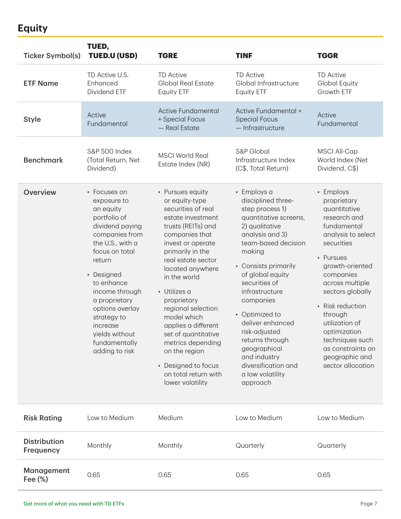| <b>Ticker Symbol(s)</b>          | TUED,<br><b>TUED.U (USD)</b>                                                                                                                                                                                                                                                                                    | <b>TGRE</b>                                                                                                                                                                                                                                                                                                                                                                                                                                         | <b>TINF</b>                                                                                                                                                                                                                                                                                                                                                                                                      | <b>TGGR</b>                                                                                                                                                                                                                                                                                                                                     |
|----------------------------------|-----------------------------------------------------------------------------------------------------------------------------------------------------------------------------------------------------------------------------------------------------------------------------------------------------------------|-----------------------------------------------------------------------------------------------------------------------------------------------------------------------------------------------------------------------------------------------------------------------------------------------------------------------------------------------------------------------------------------------------------------------------------------------------|------------------------------------------------------------------------------------------------------------------------------------------------------------------------------------------------------------------------------------------------------------------------------------------------------------------------------------------------------------------------------------------------------------------|-------------------------------------------------------------------------------------------------------------------------------------------------------------------------------------------------------------------------------------------------------------------------------------------------------------------------------------------------|
| <b>ETF Name</b>                  | TD Active U.S.<br>Enhanced<br>Dividend ETF                                                                                                                                                                                                                                                                      | <b>TD Active</b><br><b>Global Real Estate</b><br><b>Equity ETF</b>                                                                                                                                                                                                                                                                                                                                                                                  | <b>TD Active</b><br>Global Infrastructure<br><b>Equity ETF</b>                                                                                                                                                                                                                                                                                                                                                   | <b>TD Active</b><br><b>Global Equity</b><br>Growth ETF                                                                                                                                                                                                                                                                                          |
| <b>Style</b>                     | Active<br>Fundamental                                                                                                                                                                                                                                                                                           | <b>Active Fundamental</b><br>+ Special Focus<br>- Real Estate                                                                                                                                                                                                                                                                                                                                                                                       | Active Fundamental +<br><b>Special Focus</b><br>- Infrastructure                                                                                                                                                                                                                                                                                                                                                 | Active<br>Fundamental                                                                                                                                                                                                                                                                                                                           |
| <b>Benchmark</b>                 | <b>S&amp;P 500 Index</b><br>(Total Return, Net<br>Dividend)                                                                                                                                                                                                                                                     | <b>MSCI World Real</b><br>Estate Index (NR)                                                                                                                                                                                                                                                                                                                                                                                                         | S&P Global<br>Infrastructure Index<br>(C\$, Total Return)                                                                                                                                                                                                                                                                                                                                                        | <b>MSCI All-Cap</b><br>World Index (Net<br>Dividend, C\$)                                                                                                                                                                                                                                                                                       |
| Overview                         | • Focuses on<br>exposure to<br>an equity<br>portfolio of<br>dividend paying<br>companies from<br>the U.S., with a<br>focus on total<br>return<br>• Designed<br>to enhance<br>income through<br>a proprietary<br>options overlay<br>strategy to<br>increase<br>yields without<br>fundamentally<br>adding to risk | • Pursues equity<br>or equity-type<br>securities of real<br>estate investment<br>trusts (REITs) and<br>companies that<br>invest or operate<br>primarily in the<br>real estate sector<br>located anywhere<br>in the world<br>• Utilizes a<br>proprietary<br>regional selection<br>model which<br>applies a different<br>set of quantitative<br>metrics depending<br>on the region<br>• Designed to focus<br>on total return with<br>lower volatility | • Employs a<br>disciplined three-<br>step process 1)<br>quantitative screens,<br>2) qualitative<br>analysis and 3)<br>team-based decision<br>making<br>• Consists primarily<br>of global equity<br>securities of<br>infrastructure<br>companies<br>• Optimized to<br>deliver enhanced<br>risk-adjusted<br>returns through<br>geographical<br>and industry<br>diversification and<br>a low volatility<br>approach | • Employs<br>proprietary<br>quantitative<br>research and<br>fundamental<br>analysis to select<br>securities<br>• Pursues<br>growth-oriented<br>companies<br>across multiple<br>sectors globally<br>• Risk reduction<br>through<br>utilization of<br>optimization<br>techniques such<br>as constraints on<br>geographic and<br>sector allocation |
| <b>Risk Rating</b>               | Low to Medium                                                                                                                                                                                                                                                                                                   | Medium                                                                                                                                                                                                                                                                                                                                                                                                                                              | Low to Medium                                                                                                                                                                                                                                                                                                                                                                                                    | Low to Medium                                                                                                                                                                                                                                                                                                                                   |
| <b>Distribution</b><br>Frequency | Monthly                                                                                                                                                                                                                                                                                                         | Monthly                                                                                                                                                                                                                                                                                                                                                                                                                                             | Quarterly                                                                                                                                                                                                                                                                                                                                                                                                        | Quarterly                                                                                                                                                                                                                                                                                                                                       |
| <b>Management</b><br>Fee $(\%)$  | 0.65                                                                                                                                                                                                                                                                                                            | 0.65                                                                                                                                                                                                                                                                                                                                                                                                                                                | 0.65                                                                                                                                                                                                                                                                                                                                                                                                             | 0.65                                                                                                                                                                                                                                                                                                                                            |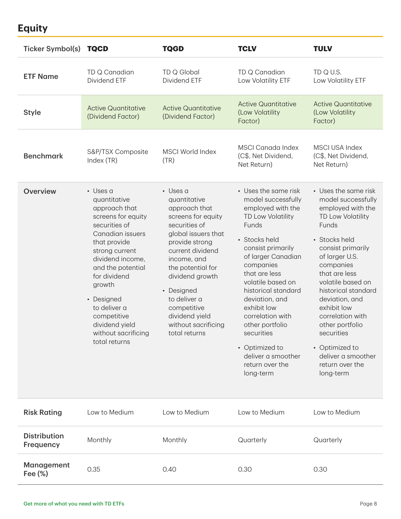| Ticker Symbol(s) TQCD            |                                                                                                                                                                                                                                                                                                                        | <b>TQGD</b>                                                                                                                                                                                                                                                                                                       | <b>TCLV</b>                                                                                                                                                                                                                                                                                                                                                                                       | <b>TULV</b>                                                                                                                                                                                                                                                                                                                                                                                   |
|----------------------------------|------------------------------------------------------------------------------------------------------------------------------------------------------------------------------------------------------------------------------------------------------------------------------------------------------------------------|-------------------------------------------------------------------------------------------------------------------------------------------------------------------------------------------------------------------------------------------------------------------------------------------------------------------|---------------------------------------------------------------------------------------------------------------------------------------------------------------------------------------------------------------------------------------------------------------------------------------------------------------------------------------------------------------------------------------------------|-----------------------------------------------------------------------------------------------------------------------------------------------------------------------------------------------------------------------------------------------------------------------------------------------------------------------------------------------------------------------------------------------|
| <b>ETF Name</b>                  | TD Q Canadian<br>Dividend ETF                                                                                                                                                                                                                                                                                          | TD Q Global<br>Dividend ETF                                                                                                                                                                                                                                                                                       | TD Q Canadian<br>Low Volatility ETF                                                                                                                                                                                                                                                                                                                                                               | TD Q U.S.<br>Low Volatility ETF                                                                                                                                                                                                                                                                                                                                                               |
| <b>Style</b>                     | <b>Active Quantitative</b><br>(Dividend Factor)                                                                                                                                                                                                                                                                        | <b>Active Quantitative</b><br>(Dividend Factor)                                                                                                                                                                                                                                                                   | <b>Active Quantitative</b><br>(Low Volatility<br>Factor)                                                                                                                                                                                                                                                                                                                                          | <b>Active Quantitative</b><br>(Low Volatility<br>Factor)                                                                                                                                                                                                                                                                                                                                      |
| <b>Benchmark</b>                 | S&P/TSX Composite<br>Index (TR)                                                                                                                                                                                                                                                                                        | <b>MSCI World Index</b><br>(TR)                                                                                                                                                                                                                                                                                   | <b>MSCI Canada Index</b><br>(C\$, Net Dividend,<br>Net Return)                                                                                                                                                                                                                                                                                                                                    | <b>MSCI USA Index</b><br>(C\$, Net Dividend,<br>Net Return)                                                                                                                                                                                                                                                                                                                                   |
| <b>Overview</b>                  | $\cdot$ Uses a<br>quantitative<br>approach that<br>screens for equity<br>securities of<br>Canadian issuers<br>that provide<br>strong current<br>dividend income,<br>and the potential<br>for dividend<br>growth<br>• Designed<br>to deliver a<br>competitive<br>dividend yield<br>without sacrificing<br>total returns | $\cdot$ Uses a<br>quantitative<br>approach that<br>screens for equity<br>securities of<br>global issuers that<br>provide strong<br>current dividend<br>income, and<br>the potential for<br>dividend growth<br>• Designed<br>to deliver a<br>competitive<br>dividend yield<br>without sacrificing<br>total returns | • Uses the same risk<br>model successfully<br>employed with the<br>TD Low Volatility<br>Funds<br>• Stocks held<br>consist primarily<br>of larger Canadian<br>companies<br>that are less<br>volatile based on<br>historical standard<br>deviation, and<br>exhibit low<br>correlation with<br>other portfolio<br>securities<br>• Optimized to<br>deliver a smoother<br>return over the<br>long-term | • Uses the same risk<br>model successfully<br>employed with the<br>TD Low Volatility<br>Funds<br>• Stocks held<br>consist primarily<br>of larger U.S.<br>companies<br>that are less<br>volatile based on<br>historical standard<br>deviation, and<br>exhibit low<br>correlation with<br>other portfolio<br>securities<br>• Optimized to<br>deliver a smoother<br>return over the<br>long-term |
| <b>Risk Rating</b>               | Low to Medium                                                                                                                                                                                                                                                                                                          | Low to Medium                                                                                                                                                                                                                                                                                                     | Low to Medium                                                                                                                                                                                                                                                                                                                                                                                     | Low to Medium                                                                                                                                                                                                                                                                                                                                                                                 |
| <b>Distribution</b><br>Frequency | Monthly                                                                                                                                                                                                                                                                                                                | Monthly                                                                                                                                                                                                                                                                                                           | Quarterly                                                                                                                                                                                                                                                                                                                                                                                         | Quarterly                                                                                                                                                                                                                                                                                                                                                                                     |
| <b>Management</b><br>Fee (%)     | 0.35                                                                                                                                                                                                                                                                                                                   | 0.40                                                                                                                                                                                                                                                                                                              | 0.30                                                                                                                                                                                                                                                                                                                                                                                              | 0.30                                                                                                                                                                                                                                                                                                                                                                                          |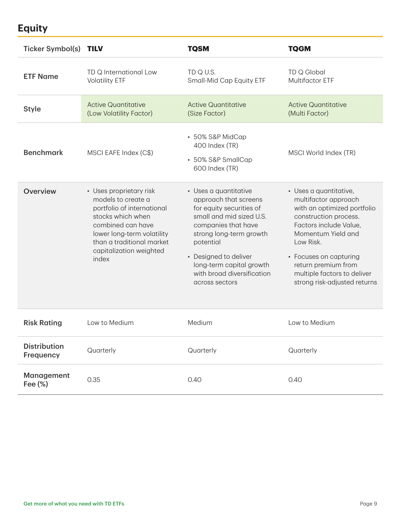| Ticker Symbol(s)                 | <b>TILV</b>                                                                                                                                                                                                          | <b>TQSM</b>                                                                                                                                                                                                                                                                | <b>TQGM</b>                                                                                                                                                                                                                                                                         |
|----------------------------------|----------------------------------------------------------------------------------------------------------------------------------------------------------------------------------------------------------------------|----------------------------------------------------------------------------------------------------------------------------------------------------------------------------------------------------------------------------------------------------------------------------|-------------------------------------------------------------------------------------------------------------------------------------------------------------------------------------------------------------------------------------------------------------------------------------|
| <b>ETF Name</b>                  | TD Q International Low<br><b>Volatility ETF</b>                                                                                                                                                                      | TD Q U.S.<br>Small-Mid Cap Equity ETF                                                                                                                                                                                                                                      | TD Q Global<br><b>Multifactor ETF</b>                                                                                                                                                                                                                                               |
| <b>Style</b>                     | <b>Active Quantitative</b><br>(Low Volatility Factor)                                                                                                                                                                | <b>Active Quantitative</b><br>(Size Factor)                                                                                                                                                                                                                                | <b>Active Quantitative</b><br>(Multi Factor)                                                                                                                                                                                                                                        |
| <b>Benchmark</b>                 | MSCI EAFE Index (C\$)                                                                                                                                                                                                | • 50% S&P MidCap<br>400 Index (TR)<br>• 50% S&P SmallCap<br>600 Index (TR)                                                                                                                                                                                                 | MSCI World Index (TR)                                                                                                                                                                                                                                                               |
| <b>Overview</b>                  | • Uses proprietary risk<br>models to create a<br>portfolio of international<br>stocks which when<br>combined can have<br>lower long-term volatility<br>than a traditional market<br>capitalization weighted<br>index | • Uses a quantitative<br>approach that screens<br>for equity securities of<br>small and mid sized U.S.<br>companies that have<br>strong long-term growth<br>potential<br>• Designed to deliver<br>long-term capital growth<br>with broad diversification<br>across sectors | • Uses a quantitative,<br>multifactor approach<br>with an optimized portfolio<br>construction process.<br>Factors include Value,<br>Momentum Yield and<br>Low Risk.<br>• Focuses on capturing<br>return premium from<br>multiple factors to deliver<br>strong risk-adjusted returns |
| <b>Risk Rating</b>               | Low to Medium                                                                                                                                                                                                        | Medium                                                                                                                                                                                                                                                                     | Low to Medium                                                                                                                                                                                                                                                                       |
| <b>Distribution</b><br>Frequency | Quarterly                                                                                                                                                                                                            | Quarterly                                                                                                                                                                                                                                                                  | Quarterly                                                                                                                                                                                                                                                                           |
| <b>Management</b><br>Fee (%)     | 0.35                                                                                                                                                                                                                 | 0.40                                                                                                                                                                                                                                                                       | 0.40                                                                                                                                                                                                                                                                                |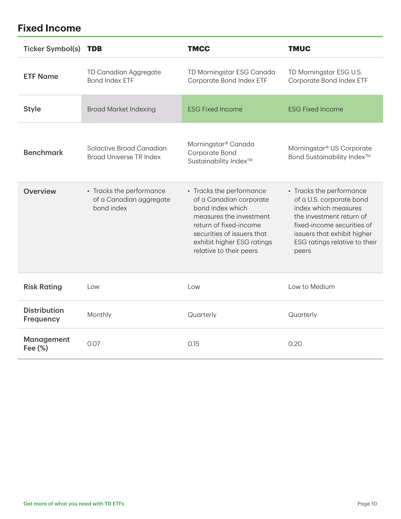| Ticker Symbol(s) TDB             |                                                                   | <b>TMCC</b>                                                                                                                                                                                                         | <b>TMUC</b>                                                                                                                                                                                                     |
|----------------------------------|-------------------------------------------------------------------|---------------------------------------------------------------------------------------------------------------------------------------------------------------------------------------------------------------------|-----------------------------------------------------------------------------------------------------------------------------------------------------------------------------------------------------------------|
| <b>ETF Name</b>                  | TD Canadian Aggregate<br><b>Bond Index ETF</b>                    | TD Morningstar ESG Canada<br>Corporate Bond Index ETF                                                                                                                                                               | TD Morningstar ESG U.S.<br>Corporate Bond Index ETF                                                                                                                                                             |
| <b>Style</b>                     | <b>Broad Market Indexing</b>                                      | <b>ESG Fixed Income</b>                                                                                                                                                                                             | <b>ESG Fixed Income</b>                                                                                                                                                                                         |
| <b>Benchmark</b>                 | Solactive Broad Canadian<br>Broad Universe TR Index               | Morningstar <sup>®</sup> Canada<br>Corporate Bond<br>Sustainability Index <sup>™</sup>                                                                                                                              | Morningstar <sup>®</sup> US Corporate<br>Bond Sustainability Index <sup>™</sup>                                                                                                                                 |
| Overview                         | • Tracks the performance<br>of a Canadian aggregate<br>bond index | • Tracks the performance<br>of a Canadian corporate<br>bond index which<br>measures the investment<br>return of fixed-income<br>securities of issuers that<br>exhibit higher ESG ratings<br>relative to their peers | • Tracks the performance<br>of a U.S. corporate bond<br>index which measures<br>the investment return of<br>fixed-income securities of<br>issuers that exhibit higher<br>ESG ratings relative to their<br>peers |
| <b>Risk Rating</b>               | Low                                                               | Low                                                                                                                                                                                                                 | Low to Medium                                                                                                                                                                                                   |
| <b>Distribution</b><br>Frequency | Monthly                                                           | Quarterly                                                                                                                                                                                                           | Quarterly                                                                                                                                                                                                       |
| <b>Management</b><br>Fee (%)     | 0.07                                                              | 0.15                                                                                                                                                                                                                | 0.20                                                                                                                                                                                                            |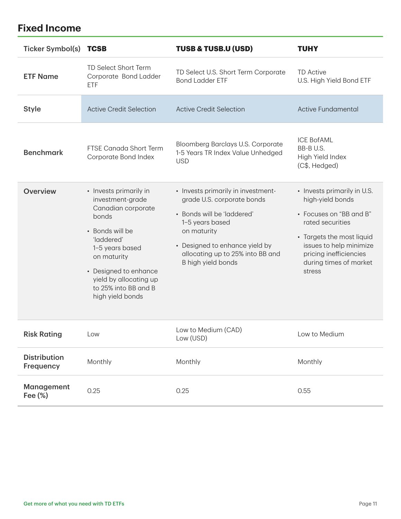| Ticker Symbol(s)                 | <b>TCSB</b>                                                                                                                                                                                                                                 | <b>TUSB &amp; TUSB.U (USD)</b>                                                                                                                                                                                               | <b>TUHY</b>                                                                                                                                                                                                          |
|----------------------------------|---------------------------------------------------------------------------------------------------------------------------------------------------------------------------------------------------------------------------------------------|------------------------------------------------------------------------------------------------------------------------------------------------------------------------------------------------------------------------------|----------------------------------------------------------------------------------------------------------------------------------------------------------------------------------------------------------------------|
| <b>ETF Name</b>                  | TD Select Short Term<br>Corporate Bond Ladder<br>ETF                                                                                                                                                                                        | TD Select U.S. Short Term Corporate<br><b>Bond Ladder ETF</b>                                                                                                                                                                | <b>TD Active</b><br>U.S. High Yield Bond ETF                                                                                                                                                                         |
| <b>Style</b>                     | <b>Active Credit Selection</b>                                                                                                                                                                                                              | <b>Active Credit Selection</b>                                                                                                                                                                                               | <b>Active Fundamental</b>                                                                                                                                                                                            |
| <b>Benchmark</b>                 | FTSE Canada Short Term<br>Corporate Bond Index                                                                                                                                                                                              | Bloomberg Barclays U.S. Corporate<br>1-5 Years TR Index Value Unhedged<br><b>USD</b>                                                                                                                                         | <b>ICE BofAML</b><br>BB-BU.S.<br>High Yield Index<br>(C\$, Hedged)                                                                                                                                                   |
| Overview                         | • Invests primarily in<br>investment-grade<br>Canadian corporate<br>bonds<br>• Bonds will be<br>'laddered'<br>1-5 years based<br>on maturity<br>• Designed to enhance<br>yield by allocating up<br>to 25% into BB and B<br>high yield bonds | • Invests primarily in investment-<br>grade U.S. corporate bonds<br>· Bonds will be 'laddered'<br>1-5 years based<br>on maturity<br>• Designed to enhance yield by<br>allocating up to 25% into BB and<br>B high yield bonds | • Invests primarily in U.S.<br>high-yield bonds<br>• Focuses on "BB and B"<br>rated securities<br>• Targets the most liquid<br>issues to help minimize<br>pricing inefficiencies<br>during times of market<br>stress |
| <b>Risk Rating</b>               | Low                                                                                                                                                                                                                                         | Low to Medium (CAD)<br>Low (USD)                                                                                                                                                                                             | Low to Medium                                                                                                                                                                                                        |
| <b>Distribution</b><br>Frequency | Monthly                                                                                                                                                                                                                                     | Monthly                                                                                                                                                                                                                      | Monthly                                                                                                                                                                                                              |
| <b>Management</b><br>Fee (%)     | 0.25                                                                                                                                                                                                                                        | 0.25                                                                                                                                                                                                                         | 0.55                                                                                                                                                                                                                 |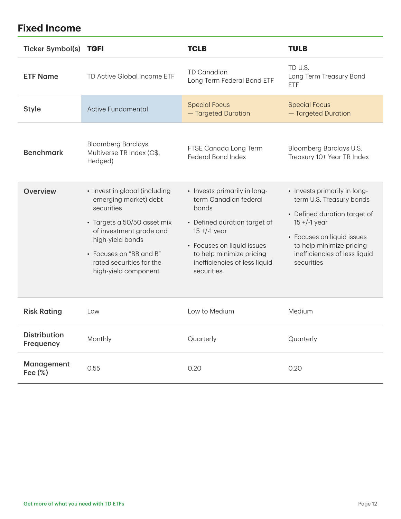| Ticker Symbol(s) TGFI            |                                                                                                                                                                                                                                   | <b>TCLB</b>                                                                                                                                                                                                                 | <b>TULB</b>                                                                                                                                                                                                           |
|----------------------------------|-----------------------------------------------------------------------------------------------------------------------------------------------------------------------------------------------------------------------------------|-----------------------------------------------------------------------------------------------------------------------------------------------------------------------------------------------------------------------------|-----------------------------------------------------------------------------------------------------------------------------------------------------------------------------------------------------------------------|
| <b>ETF Name</b>                  | TD Active Global Income FTF                                                                                                                                                                                                       | <b>TD Canadian</b><br>Long Term Federal Bond ETF                                                                                                                                                                            | TD U.S.<br>Long Term Treasury Bond<br><b>ETF</b>                                                                                                                                                                      |
| <b>Style</b>                     | <b>Active Fundamental</b>                                                                                                                                                                                                         | <b>Special Focus</b><br>- Targeted Duration                                                                                                                                                                                 | <b>Special Focus</b><br>- Targeted Duration                                                                                                                                                                           |
| <b>Benchmark</b>                 | <b>Bloomberg Barclays</b><br>Multiverse TR Index (C\$,<br>Hedged)                                                                                                                                                                 | FTSE Canada Long Term<br><b>Federal Bond Index</b>                                                                                                                                                                          | Bloomberg Barclays U.S.<br>Treasury 10+ Year TR Index                                                                                                                                                                 |
| <b>Overview</b>                  | • Invest in global (including<br>emerging market) debt<br>securities<br>• Targets a 50/50 asset mix<br>of investment grade and<br>high-yield bonds<br>• Focuses on "BB and B"<br>rated securities for the<br>high-yield component | • Invests primarily in long-<br>term Canadian federal<br>bonds<br>• Defined duration target of<br>$15 + (-1)$ year<br>• Focuses on liquid issues<br>to help minimize pricing<br>inefficiencies of less liquid<br>securities | • Invests primarily in long-<br>term U.S. Treasury bonds<br>• Defined duration target of<br>$15 + (-1)$ year<br>• Focuses on liquid issues<br>to help minimize pricing<br>inefficiencies of less liquid<br>securities |
| <b>Risk Rating</b>               | Low                                                                                                                                                                                                                               | Low to Medium                                                                                                                                                                                                               | Medium                                                                                                                                                                                                                |
| <b>Distribution</b><br>Frequency | Monthly                                                                                                                                                                                                                           | Quarterly                                                                                                                                                                                                                   | Quarterly                                                                                                                                                                                                             |
| <b>Management</b><br>Fee (%)     | 0.55                                                                                                                                                                                                                              | 0.20                                                                                                                                                                                                                        | 0.20                                                                                                                                                                                                                  |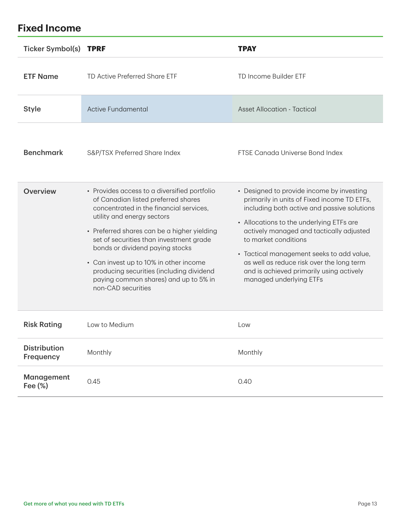| Ticker Symbol(s)                        | <b>TPRF</b>                                                                                                                                                                                                                                                                                                                                                                                                                                    | ΤΡΑΥ                                                                                                                                                                                                                                                                                                                                                                                                                     |
|-----------------------------------------|------------------------------------------------------------------------------------------------------------------------------------------------------------------------------------------------------------------------------------------------------------------------------------------------------------------------------------------------------------------------------------------------------------------------------------------------|--------------------------------------------------------------------------------------------------------------------------------------------------------------------------------------------------------------------------------------------------------------------------------------------------------------------------------------------------------------------------------------------------------------------------|
| <b>ETF Name</b>                         | TD Active Preferred Share ETF                                                                                                                                                                                                                                                                                                                                                                                                                  | TD Income Builder ETF                                                                                                                                                                                                                                                                                                                                                                                                    |
| <b>Style</b>                            | Active Fundamental                                                                                                                                                                                                                                                                                                                                                                                                                             | <b>Asset Allocation - Tactical</b>                                                                                                                                                                                                                                                                                                                                                                                       |
| <b>Benchmark</b>                        | S&P/TSX Preferred Share Index                                                                                                                                                                                                                                                                                                                                                                                                                  | FTSE Canada Universe Bond Index                                                                                                                                                                                                                                                                                                                                                                                          |
| Overview                                | • Provides access to a diversified portfolio<br>of Canadian listed preferred shares<br>concentrated in the financial services.<br>utility and energy sectors<br>• Preferred shares can be a higher yielding<br>set of securities than investment grade<br>bonds or dividend paying stocks<br>• Can invest up to 10% in other income<br>producing securities (including dividend<br>paying common shares) and up to 5% in<br>non-CAD securities | • Designed to provide income by investing<br>primarily in units of Fixed income TD ETFs,<br>including both active and passive solutions<br>• Allocations to the underlying ETFs are<br>actively managed and tactically adjusted<br>to market conditions<br>• Tactical management seeks to add value,<br>as well as reduce risk over the long term<br>and is achieved primarily using actively<br>managed underlying ETFs |
| <b>Risk Rating</b>                      | Low to Medium                                                                                                                                                                                                                                                                                                                                                                                                                                  | Low                                                                                                                                                                                                                                                                                                                                                                                                                      |
| <b>Distribution</b><br><b>Frequency</b> | Monthly                                                                                                                                                                                                                                                                                                                                                                                                                                        | Monthly                                                                                                                                                                                                                                                                                                                                                                                                                  |
| Management<br>Fee $(\%)$                | 0.45                                                                                                                                                                                                                                                                                                                                                                                                                                           | 0.40                                                                                                                                                                                                                                                                                                                                                                                                                     |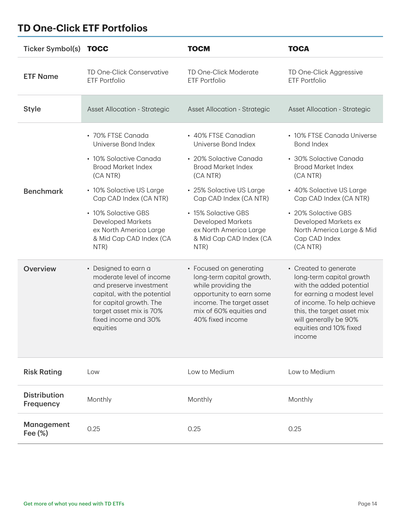## **TD One-Click ETF Portfolios**

| Ticker Symbol(s) TOCC            |                                                                                                                                                                                                      | <b>TOCM</b>                                                                                                                                                                        | <b>TOCA</b>                                                                                                                                                                                                                          |
|----------------------------------|------------------------------------------------------------------------------------------------------------------------------------------------------------------------------------------------------|------------------------------------------------------------------------------------------------------------------------------------------------------------------------------------|--------------------------------------------------------------------------------------------------------------------------------------------------------------------------------------------------------------------------------------|
| <b>ETF Name</b>                  | TD One-Click Conservative<br>ETF Portfolio                                                                                                                                                           | TD One-Click Moderate<br><b>ETF Portfolio</b>                                                                                                                                      | TD One-Click Aggressive<br><b>ETF Portfolio</b>                                                                                                                                                                                      |
| <b>Style</b>                     | Asset Allocation - Strategic                                                                                                                                                                         | Asset Allocation - Strategic                                                                                                                                                       | <b>Asset Allocation - Strategic</b>                                                                                                                                                                                                  |
|                                  | • 70% FTSE Canada<br>Universe Bond Index                                                                                                                                                             | • 40% FTSE Canadian<br>Universe Bond Index                                                                                                                                         | • 10% FTSE Canada Universe<br><b>Bond Index</b>                                                                                                                                                                                      |
|                                  | • 10% Solactive Canada<br><b>Broad Market Index</b><br>(CA NTR)                                                                                                                                      | • 20% Solactive Canada<br><b>Broad Market Index</b><br>(CA NTR)                                                                                                                    | · 30% Solactive Canada<br><b>Broad Market Index</b><br>(CA NTR)                                                                                                                                                                      |
| <b>Benchmark</b>                 | • 10% Solactive US Large<br>Cap CAD Index (CA NTR)                                                                                                                                                   | • 25% Solactive US Large<br>Cap CAD Index (CA NTR)                                                                                                                                 | • 40% Solactive US Large<br>Cap CAD Index (CA NTR)                                                                                                                                                                                   |
|                                  | • 10% Solactive GBS<br><b>Developed Markets</b><br>ex North America Large<br>& Mid Cap CAD Index (CA<br>NTR)                                                                                         | • 15% Solactive GBS<br><b>Developed Markets</b><br>ex North America Large<br>& Mid Cap CAD Index (CA<br>NTR)                                                                       | • 20% Solactive GBS<br>Developed Markets ex<br>North America Large & Mid<br>Cap CAD Index<br>(CA NTR)                                                                                                                                |
| <b>Overview</b>                  | • Designed to earn a<br>moderate level of income<br>and preserve investment<br>capital, with the potential<br>for capital growth. The<br>target asset mix is 70%<br>fixed income and 30%<br>equities | • Focused on generating<br>long-term capital growth,<br>while providing the<br>opportunity to earn some<br>income. The target asset<br>mix of 60% equities and<br>40% fixed income | • Created to generate<br>long-term capital growth<br>with the added potential<br>for earning a modest level<br>of income. To help achieve<br>this, the target asset mix<br>will generally be 90%<br>equities and 10% fixed<br>income |
| <b>Risk Rating</b>               | Low                                                                                                                                                                                                  | Low to Medium                                                                                                                                                                      | Low to Medium                                                                                                                                                                                                                        |
| <b>Distribution</b><br>Frequency | Monthly                                                                                                                                                                                              | Monthly                                                                                                                                                                            | Monthly                                                                                                                                                                                                                              |
| Management<br>Fee $(\%)$         | 0.25                                                                                                                                                                                                 | 0.25                                                                                                                                                                               | 0.25                                                                                                                                                                                                                                 |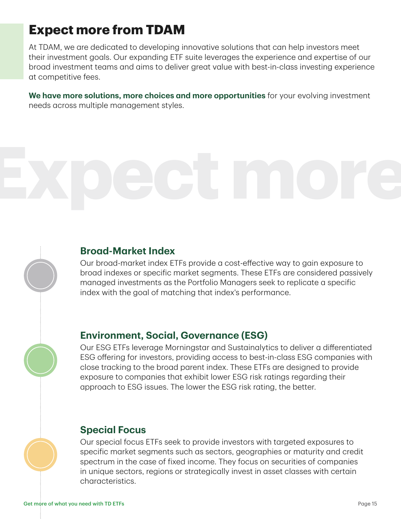## **Expect more from TDAM**

At TDAM, we are dedicated to developing innovative solutions that can help investors meet their investment goals. Our expanding ETF suite leverages the experience and expertise of our broad investment teams and aims to deliver great value with best-in-class investing experience at competitive fees.

**We have more solutions, more choices and more opportunities** for your evolving investment needs across multiple management styles.

#### **Broad-Market Index**

Our broad-market index ETFs provide a cost-effective way to gain exposure to broad indexes or specific market segments. These ETFs are considered passively managed investments as the Portfolio Managers seek to replicate a specific index with the goal of matching that index's performance.

#### **Environment, Social, Governance (ESG)**

Our ESG ETFs leverage Morningstar and Sustainalytics to deliver a differentiated ESG offering for investors, providing access to best-in-class ESG companies with close tracking to the broad parent index. These ETFs are designed to provide exposure to companies that exhibit lower ESG risk ratings regarding their approach to ESG issues. The lower the ESG risk rating, the better.

#### **Special Focus**

Our special focus ETFs seek to provide investors with targeted exposures to specific market segments such as sectors, geographies or maturity and credit spectrum in the case of fixed income. They focus on securities of companies in unique sectors, regions or strategically invest in asset classes with certain characteristics.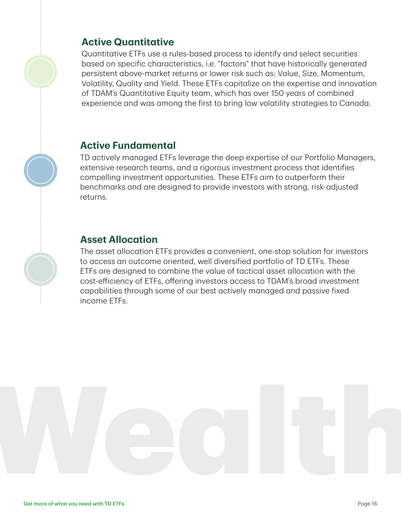#### **Active Quantitative**

Quantitative ETFs use a rules-based process to identify and select securities based on specific characteristics, i.e. "factors" that have historically generated persistent above-market returns or lower risk such as: Value, Size, Momentum, Volatility, Quality and Yield. These ETFs capitalize on the expertise and innovation of TDAM's Quantitative Equity team, which has over 150 years of combined experience and was among the first to bring low volatility strategies to Canada.

#### **Active Fundamental**

TD actively managed ETFs leverage the deep expertise of our Portfolio Managers, extensive research teams, and a rigorous investment process that identifies compelling investment opportunities. These ETFs aim to outperform their benchmarks and are designed to provide investors with strong, risk-adjusted returns.

#### **Asset Allocation**

The asset allocation ETFs provides a convenient, one-stop solution for investors to access an outcome oriented, well diversified portfolio of TD ETFs. These ETFs are designed to combine the value of tactical asset allocation with the cost-efficiency of ETFs, offering investors access to TDAM's broad investment capabilities through some of our best actively managed and passive fixed income ETFs.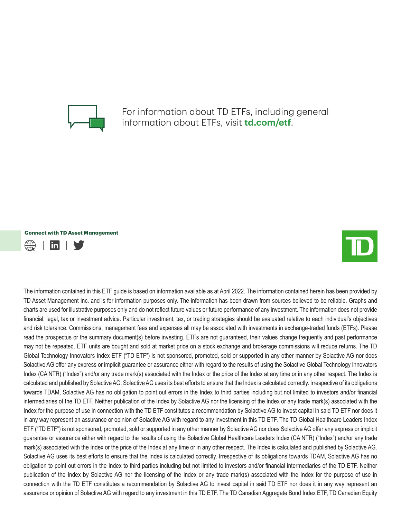

For information about TD ETFs, including general information about ETFs, visit **td[.com/e](https://www.td.com/ca/en/asset-management/how-to/etfs-in-focus/whats-new/)tf**.

#### **Connect with TD Asset Management**





The information contained in this ETF guide is based on information available as at April 2022. The information contained herein has been provided by TD Asset Management Inc. and is for information purposes only. The information has been drawn from sources believed to be reliable. Graphs and charts are used for illustrative purposes only and do not reflect future values or future performance of any investment. The information does not provide financial, legal, tax or investment advice. Particular investment, tax, or trading strategies should be evaluated relative to each individual's objectives and risk tolerance. Commissions, management fees and expenses all may be associated with investments in exchange-traded funds (ETFs). Please read the prospectus or the summary document(s) before investing. ETFs are not guaranteed, their values change frequently and past performance may not be repeated. ETF units are bought and sold at market price on a stock exchange and brokerage commissions will reduce returns. The TD Global Technology Innovators Index ETF ("TD ETF") is not sponsored, promoted, sold or supported in any other manner by Solactive AG nor does Solactive AG offer any express or implicit guarantee or assurance either with regard to the results of using the Solactive Global Technology Innovators Index (CA NTR) ("Index") and/or any trade mark(s) associated with the Index or the price of the Index at any time or in any other respect. The Index is calculated and published by Solactive AG. Solactive AG uses its best efforts to ensure that the Index is calculated correctly. Irrespective of its obligations towards TDAM, Solactive AG has no obligation to point out errors in the Index to third parties including but not limited to investors and/or financial intermediaries of the TD ETF. Neither publication of the Index by Solactive AG nor the licensing of the Index or any trade mark(s) associated with the Index for the purpose of use in connection with the TD ETF constitutes a recommendation by Solactive AG to invest capital in said TD ETF nor does it in any way represent an assurance or opinion of Solactive AG with regard to any investment in this TD ETF. The TD Global Healthcare Leaders Index ETF ("TD ETF") is not sponsored, promoted, sold or supported in any other manner by Solactive AG nor does Solactive AG offer any express or implicit guarantee or assurance either with regard to the results of using the Solactive Global Healthcare Leaders Index (CA NTR) ("Index") and/or any trade mark(s) associated with the Index or the price of the Index at any time or in any other respect. The Index is calculated and published by Solactive AG. Solactive AG uses its best efforts to ensure that the Index is calculated correctly. Irrespective of its obligations towards TDAM, Solactive AG has no obligation to point out errors in the Index to third parties including but not limited to investors and/or financial intermediaries of the TD ETF. Neither publication of the Index by Solactive AG nor the licensing of the Index or any trade mark(s) associated with the Index for the purpose of use in connection with the TD ETF constitutes a recommendation by Solactive AG to invest capital in said TD ETF nor does it in any way represent an assurance or opinion of Solactive AG with regard to any investment in this TD ETF. The TD Canadian Aggregate Bond Index ETF, TD Canadian Equity